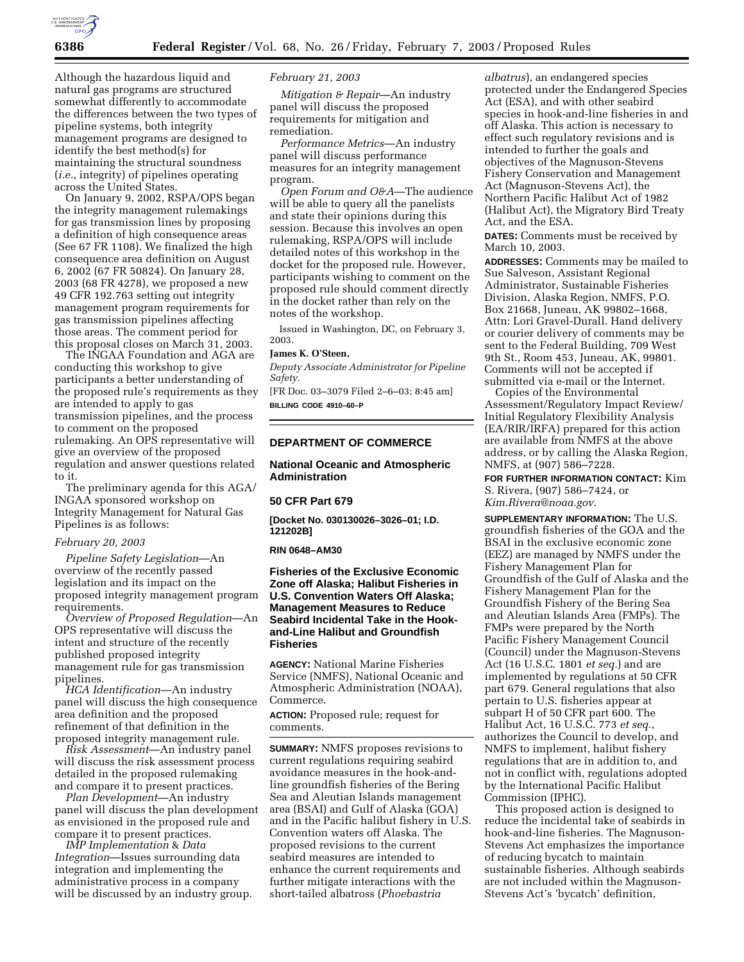

Although the hazardous liquid and natural gas programs are structured somewhat differently to accommodate the differences between the two types of pipeline systems, both integrity management programs are designed to identify the best method(s) for maintaining the structural soundness (*i.e.*, integrity) of pipelines operating across the United States.

On January 9, 2002, RSPA/OPS began the integrity management rulemakings for gas transmission lines by proposing a definition of high consequence areas (See 67 FR 1108). We finalized the high consequence area definition on August 6, 2002 (67 FR 50824). On January 28, 2003 (68 FR 4278), we proposed a new 49 CFR 192.763 setting out integrity management program requirements for gas transmission pipelines affecting those areas. The comment period for this proposal closes on March 31, 2003.

The INGAA Foundation and AGA are conducting this workshop to give participants a better understanding of the proposed rule's requirements as they are intended to apply to gas transmission pipelines, and the process to comment on the proposed rulemaking. An OPS representative will give an overview of the proposed regulation and answer questions related to it.

The preliminary agenda for this AGA/ INGAA sponsored workshop on Integrity Management for Natural Gas Pipelines is as follows:

# *February 20, 2003*

*Pipeline Safety Legislation*—An overview of the recently passed legislation and its impact on the proposed integrity management program requirements.

*Overview of Proposed Regulation*—An OPS representative will discuss the intent and structure of the recently published proposed integrity management rule for gas transmission pipelines.

*HCA Identification*—An industry panel will discuss the high consequence area definition and the proposed refinement of that definition in the proposed integrity management rule.

*Risk Assessment*—An industry panel will discuss the risk assessment process detailed in the proposed rulemaking and compare it to present practices.

*Plan Development*—An industry panel will discuss the plan development as envisioned in the proposed rule and compare it to present practices.

*IMP Implementation* & *Data Integration*—Issues surrounding data integration and implementing the administrative process in a company will be discussed by an industry group.

# *February 21, 2003*

*Mitigation & Repair*—An industry panel will discuss the proposed requirements for mitigation and remediation.

*Performance Metrics*—An industry panel will discuss performance measures for an integrity management program.

*Open Forum and O&A*—The audience will be able to query all the panelists and state their opinions during this session. Because this involves an open rulemaking, RSPA/OPS will include detailed notes of this workshop in the docket for the proposed rule. However, participants wishing to comment on the proposed rule should comment directly in the docket rather than rely on the notes of the workshop.

Issued in Washington, DC, on February 3, 2003.

#### **James K. O'Steen,**

*Deputy Associate Administrator for Pipeline Safety.*

[FR Doc. 03–3079 Filed 2–6–03; 8:45 am] **BILLING CODE 4910–60–P**

#### **DEPARTMENT OF COMMERCE**

# **National Oceanic and Atmospheric Administration**

#### **50 CFR Part 679**

**[Docket No. 030130026–3026–01; I.D. 121202B]**

#### **RIN 0648–AM30**

# **Fisheries of the Exclusive Economic Zone off Alaska; Halibut Fisheries in U.S. Convention Waters Off Alaska; Management Measures to Reduce Seabird Incidental Take in the Hookand-Line Halibut and Groundfish Fisheries**

**AGENCY:** National Marine Fisheries Service (NMFS), National Oceanic and Atmospheric Administration (NOAA), Commerce.

**ACTION:** Proposed rule; request for comments.

**SUMMARY:** NMFS proposes revisions to current regulations requiring seabird avoidance measures in the hook-andline groundfish fisheries of the Bering Sea and Aleutian Islands management area (BSAI) and Gulf of Alaska (GOA) and in the Pacific halibut fishery in U.S. Convention waters off Alaska. The proposed revisions to the current seabird measures are intended to enhance the current requirements and further mitigate interactions with the short-tailed albatross (*Phoebastria* 

*albatrus*), an endangered species protected under the Endangered Species Act (ESA), and with other seabird species in hook-and-line fisheries in and off Alaska. This action is necessary to effect such regulatory revisions and is intended to further the goals and objectives of the Magnuson-Stevens Fishery Conservation and Management Act (Magnuson-Stevens Act), the Northern Pacific Halibut Act of 1982 (Halibut Act), the Migratory Bird Treaty Act, and the ESA.

**DATES:** Comments must be received by March 10, 2003.

**ADDRESSES:** Comments may be mailed to Sue Salveson, Assistant Regional Administrator, Sustainable Fisheries Division, Alaska Region, NMFS, P.O. Box 21668, Juneau, AK 99802–1668, Attn: Lori Gravel-Durall. Hand delivery or courier delivery of comments may be sent to the Federal Building, 709 West 9th St., Room 453, Juneau, AK, 99801. Comments will not be accepted if submitted via e-mail or the Internet.

Copies of the Environmental Assessment/Regulatory Impact Review/ Initial Regulatory Flexibility Analysis (EA/RIR/IRFA) prepared for this action are available from NMFS at the above address, or by calling the Alaska Region, NMFS, at (907) 586–7228.

**FOR FURTHER INFORMATION CONTACT:** Kim S. Rivera, (907) 586–7424, or *Kim.Rivera@noaa.gov*.

**SUPPLEMENTARY INFORMATION:** The U.S. groundfish fisheries of the GOA and the BSAI in the exclusive economic zone (EEZ) are managed by NMFS under the Fishery Management Plan for Groundfish of the Gulf of Alaska and the Fishery Management Plan for the Groundfish Fishery of the Bering Sea and Aleutian Islands Area (FMPs). The FMPs were prepared by the North Pacific Fishery Management Council (Council) under the Magnuson-Stevens Act (16 U.S.C. 1801 *et seq.*) and are implemented by regulations at 50 CFR part 679. General regulations that also pertain to U.S. fisheries appear at subpart H of 50 CFR part 600. The Halibut Act, 16 U.S.C. 773 *et seq.*, authorizes the Council to develop, and NMFS to implement, halibut fishery regulations that are in addition to, and not in conflict with, regulations adopted by the International Pacific Halibut Commission (IPHC).

This proposed action is designed to reduce the incidental take of seabirds in hook-and-line fisheries. The Magnuson-Stevens Act emphasizes the importance of reducing bycatch to maintain sustainable fisheries. Although seabirds are not included within the Magnuson-Stevens Act's 'bycatch' definition,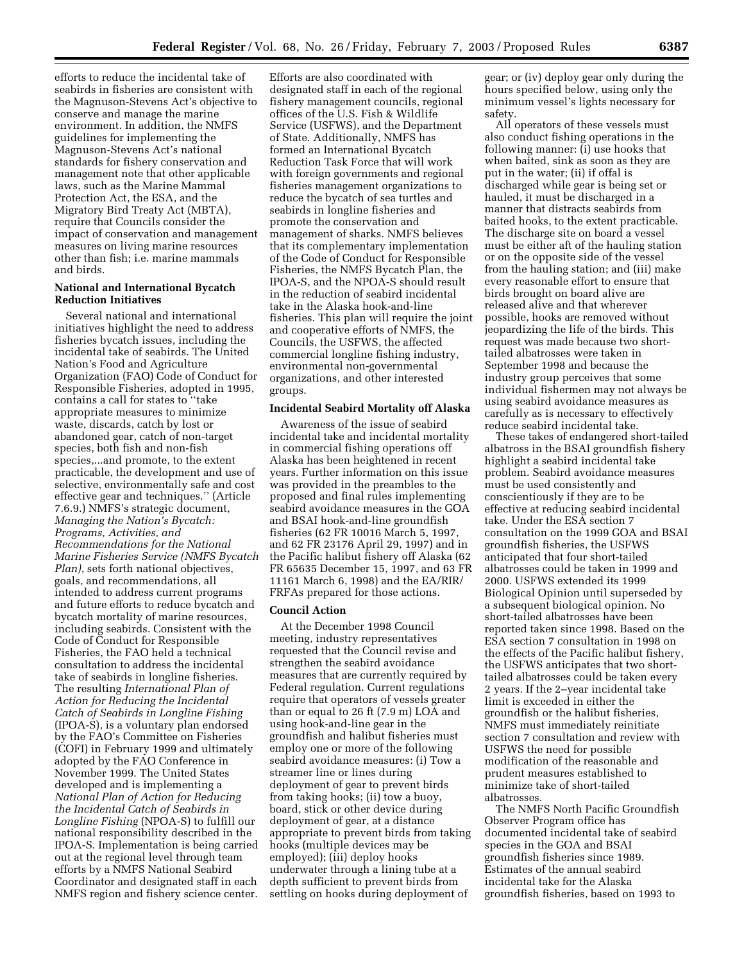efforts to reduce the incidental take of seabirds in fisheries are consistent with the Magnuson-Stevens Act's objective to conserve and manage the marine environment. In addition, the NMFS guidelines for implementing the Magnuson-Stevens Act's national standards for fishery conservation and management note that other applicable laws, such as the Marine Mammal Protection Act, the ESA, and the Migratory Bird Treaty Act (MBTA), require that Councils consider the impact of conservation and management measures on living marine resources other than fish; i.e. marine mammals and birds.

# **National and International Bycatch Reduction Initiatives**

Several national and international initiatives highlight the need to address fisheries bycatch issues, including the incidental take of seabirds. The United Nation's Food and Agriculture Organization (FAO) Code of Conduct for Responsible Fisheries, adopted in 1995, contains a call for states to ''take appropriate measures to minimize waste, discards, catch by lost or abandoned gear, catch of non-target species, both fish and non-fish species,...and promote, to the extent practicable, the development and use of selective, environmentally safe and cost effective gear and techniques.'' (Article 7.6.9.) NMFS's strategic document, *Managing the Nation's Bycatch: Programs, Activities, and Recommendations for the National Marine Fisheries Service (NMFS Bycatch Plan)*, sets forth national objectives, goals, and recommendations, all intended to address current programs and future efforts to reduce bycatch and bycatch mortality of marine resources, including seabirds. Consistent with the Code of Conduct for Responsible Fisheries, the FAO held a technical consultation to address the incidental take of seabirds in longline fisheries. The resulting *International Plan of Action for Reducing the Incidental Catch of Seabirds in Longline Fishing* (IPOA-S), is a voluntary plan endorsed by the FAO's Committee on Fisheries (COFI) in February 1999 and ultimately adopted by the FAO Conference in November 1999. The United States developed and is implementing a *National Plan of Action for Reducing the Incidental Catch of Seabirds in Longline Fishing* (NPOA-S) to fulfill our national responsibility described in the IPOA-S. Implementation is being carried out at the regional level through team efforts by a NMFS National Seabird Coordinator and designated staff in each NMFS region and fishery science center.

Efforts are also coordinated with designated staff in each of the regional fishery management councils, regional offices of the U.S. Fish & Wildlife Service (USFWS), and the Department of State. Additionally, NMFS has formed an International Bycatch Reduction Task Force that will work with foreign governments and regional fisheries management organizations to reduce the bycatch of sea turtles and seabirds in longline fisheries and promote the conservation and management of sharks. NMFS believes that its complementary implementation of the Code of Conduct for Responsible Fisheries, the NMFS Bycatch Plan, the IPOA-S, and the NPOA-S should result in the reduction of seabird incidental take in the Alaska hook-and-line fisheries. This plan will require the joint and cooperative efforts of NMFS, the Councils, the USFWS, the affected commercial longline fishing industry, environmental non-governmental organizations, and other interested groups.

# **Incidental Seabird Mortality off Alaska**

Awareness of the issue of seabird incidental take and incidental mortality in commercial fishing operations off Alaska has been heightened in recent years. Further information on this issue was provided in the preambles to the proposed and final rules implementing seabird avoidance measures in the GOA and BSAI hook-and-line groundfish fisheries (62 FR 10016 March 5, 1997, and 62 FR 23176 April 29, 1997) and in the Pacific halibut fishery off Alaska (62 FR 65635 December 15, 1997, and 63 FR 11161 March 6, 1998) and the EA/RIR/ FRFAs prepared for those actions.

#### **Council Action**

At the December 1998 Council meeting, industry representatives requested that the Council revise and strengthen the seabird avoidance measures that are currently required by Federal regulation. Current regulations require that operators of vessels greater than or equal to 26 ft (7.9 m) LOA and using hook-and-line gear in the groundfish and halibut fisheries must employ one or more of the following seabird avoidance measures: (i) Tow a streamer line or lines during deployment of gear to prevent birds from taking hooks; (ii) tow a buoy, board, stick or other device during deployment of gear, at a distance appropriate to prevent birds from taking hooks (multiple devices may be employed); (iii) deploy hooks underwater through a lining tube at a depth sufficient to prevent birds from settling on hooks during deployment of

gear; or (iv) deploy gear only during the hours specified below, using only the minimum vessel's lights necessary for safety.

All operators of these vessels must also conduct fishing operations in the following manner: (i) use hooks that when baited, sink as soon as they are put in the water; (ii) if offal is discharged while gear is being set or hauled, it must be discharged in a manner that distracts seabirds from baited hooks, to the extent practicable. The discharge site on board a vessel must be either aft of the hauling station or on the opposite side of the vessel from the hauling station; and (iii) make every reasonable effort to ensure that birds brought on board alive are released alive and that wherever possible, hooks are removed without jeopardizing the life of the birds. This request was made because two shorttailed albatrosses were taken in September 1998 and because the industry group perceives that some individual fishermen may not always be using seabird avoidance measures as carefully as is necessary to effectively reduce seabird incidental take.

These takes of endangered short-tailed albatross in the BSAI groundfish fishery highlight a seabird incidental take problem. Seabird avoidance measures must be used consistently and conscientiously if they are to be effective at reducing seabird incidental take. Under the ESA section 7 consultation on the 1999 GOA and BSAI groundfish fisheries, the USFWS anticipated that four short-tailed albatrosses could be taken in 1999 and 2000. USFWS extended its 1999 Biological Opinion until superseded by a subsequent biological opinion. No short-tailed albatrosses have been reported taken since 1998. Based on the ESA section 7 consultation in 1998 on the effects of the Pacific halibut fishery, the USFWS anticipates that two shorttailed albatrosses could be taken every 2 years. If the 2–year incidental take limit is exceeded in either the groundfish or the halibut fisheries, NMFS must immediately reinitiate section 7 consultation and review with USFWS the need for possible modification of the reasonable and prudent measures established to minimize take of short-tailed albatrosses.

The NMFS North Pacific Groundfish Observer Program office has documented incidental take of seabird species in the GOA and BSAI groundfish fisheries since 1989. Estimates of the annual seabird incidental take for the Alaska groundfish fisheries, based on 1993 to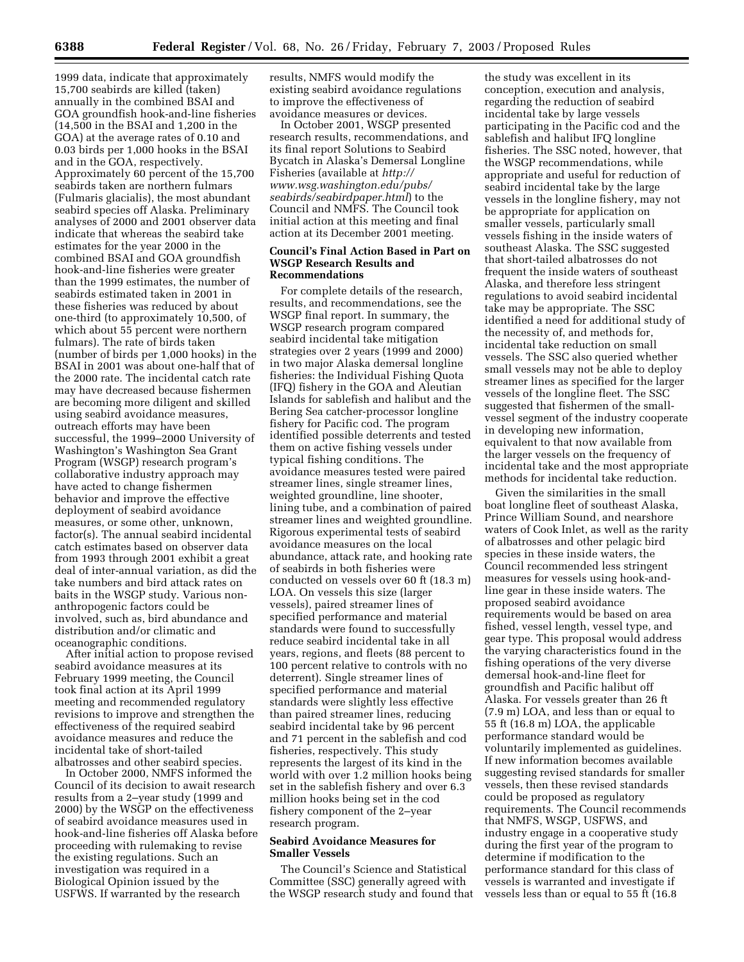1999 data, indicate that approximately 15,700 seabirds are killed (taken) annually in the combined BSAI and GOA groundfish hook-and-line fisheries (14,500 in the BSAI and 1,200 in the GOA) at the average rates of 0.10 and 0.03 birds per 1,000 hooks in the BSAI and in the GOA, respectively. Approximately 60 percent of the 15,700 seabirds taken are northern fulmars (Fulmaris glacialis), the most abundant seabird species off Alaska. Preliminary analyses of 2000 and 2001 observer data indicate that whereas the seabird take estimates for the year 2000 in the combined BSAI and GOA groundfish hook-and-line fisheries were greater than the 1999 estimates, the number of seabirds estimated taken in 2001 in these fisheries was reduced by about one-third (to approximately 10,500, of which about 55 percent were northern fulmars). The rate of birds taken (number of birds per 1,000 hooks) in the BSAI in 2001 was about one-half that of the 2000 rate. The incidental catch rate may have decreased because fishermen are becoming more diligent and skilled using seabird avoidance measures, outreach efforts may have been successful, the 1999–2000 University of Washington's Washington Sea Grant Program (WSGP) research program's collaborative industry approach may have acted to change fishermen behavior and improve the effective deployment of seabird avoidance measures, or some other, unknown, factor(s). The annual seabird incidental catch estimates based on observer data from 1993 through 2001 exhibit a great deal of inter-annual variation, as did the take numbers and bird attack rates on baits in the WSGP study. Various nonanthropogenic factors could be involved, such as, bird abundance and distribution and/or climatic and oceanographic conditions.

After initial action to propose revised seabird avoidance measures at its February 1999 meeting, the Council took final action at its April 1999 meeting and recommended regulatory revisions to improve and strengthen the effectiveness of the required seabird avoidance measures and reduce the incidental take of short-tailed albatrosses and other seabird species.

In October 2000, NMFS informed the Council of its decision to await research results from a 2–year study (1999 and 2000) by the WSGP on the effectiveness of seabird avoidance measures used in hook-and-line fisheries off Alaska before proceeding with rulemaking to revise the existing regulations. Such an investigation was required in a Biological Opinion issued by the USFWS. If warranted by the research

results, NMFS would modify the existing seabird avoidance regulations to improve the effectiveness of avoidance measures or devices.

In October 2001, WSGP presented research results, recommendations, and its final report Solutions to Seabird Bycatch in Alaska's Demersal Longline Fisheries (available at *http:// www.wsg.washington.edu/pubs/ seabirds/seabirdpaper.html*) to the Council and NMFS. The Council took initial action at this meeting and final action at its December 2001 meeting.

#### **Council's Final Action Based in Part on WSGP Research Results and Recommendations**

For complete details of the research, results, and recommendations, see the WSGP final report. In summary, the WSGP research program compared seabird incidental take mitigation strategies over 2 years (1999 and 2000) in two major Alaska demersal longline fisheries: the Individual Fishing Quota (IFQ) fishery in the GOA and Aleutian Islands for sablefish and halibut and the Bering Sea catcher-processor longline fishery for Pacific cod. The program identified possible deterrents and tested them on active fishing vessels under typical fishing conditions. The avoidance measures tested were paired streamer lines, single streamer lines, weighted groundline, line shooter, lining tube, and a combination of paired streamer lines and weighted groundline. Rigorous experimental tests of seabird avoidance measures on the local abundance, attack rate, and hooking rate of seabirds in both fisheries were conducted on vessels over 60 ft (18.3 m) LOA. On vessels this size (larger vessels), paired streamer lines of specified performance and material standards were found to successfully reduce seabird incidental take in all years, regions, and fleets (88 percent to 100 percent relative to controls with no deterrent). Single streamer lines of specified performance and material standards were slightly less effective than paired streamer lines, reducing seabird incidental take by 96 percent and 71 percent in the sablefish and cod fisheries, respectively. This study represents the largest of its kind in the world with over 1.2 million hooks being set in the sablefish fishery and over 6.3 million hooks being set in the cod fishery component of the 2–year research program.

# **Seabird Avoidance Measures for Smaller Vessels**

The Council's Science and Statistical Committee (SSC) generally agreed with the WSGP research study and found that

the study was excellent in its conception, execution and analysis, regarding the reduction of seabird incidental take by large vessels participating in the Pacific cod and the sablefish and halibut IFQ longline fisheries. The SSC noted, however, that the WSGP recommendations, while appropriate and useful for reduction of seabird incidental take by the large vessels in the longline fishery, may not be appropriate for application on smaller vessels, particularly small vessels fishing in the inside waters of southeast Alaska. The SSC suggested that short-tailed albatrosses do not frequent the inside waters of southeast Alaska, and therefore less stringent regulations to avoid seabird incidental take may be appropriate. The SSC identified a need for additional study of the necessity of, and methods for, incidental take reduction on small vessels. The SSC also queried whether small vessels may not be able to deploy streamer lines as specified for the larger vessels of the longline fleet. The SSC suggested that fishermen of the smallvessel segment of the industry cooperate in developing new information, equivalent to that now available from the larger vessels on the frequency of incidental take and the most appropriate methods for incidental take reduction.

Given the similarities in the small boat longline fleet of southeast Alaska, Prince William Sound, and nearshore waters of Cook Inlet, as well as the rarity of albatrosses and other pelagic bird species in these inside waters, the Council recommended less stringent measures for vessels using hook-andline gear in these inside waters. The proposed seabird avoidance requirements would be based on area fished, vessel length, vessel type, and gear type. This proposal would address the varying characteristics found in the fishing operations of the very diverse demersal hook-and-line fleet for groundfish and Pacific halibut off Alaska. For vessels greater than 26 ft (7.9 m) LOA, and less than or equal to 55 ft (16.8 m) LOA, the applicable performance standard would be voluntarily implemented as guidelines. If new information becomes available suggesting revised standards for smaller vessels, then these revised standards could be proposed as regulatory requirements. The Council recommends that NMFS, WSGP, USFWS, and industry engage in a cooperative study during the first year of the program to determine if modification to the performance standard for this class of vessels is warranted and investigate if vessels less than or equal to 55 ft (16.8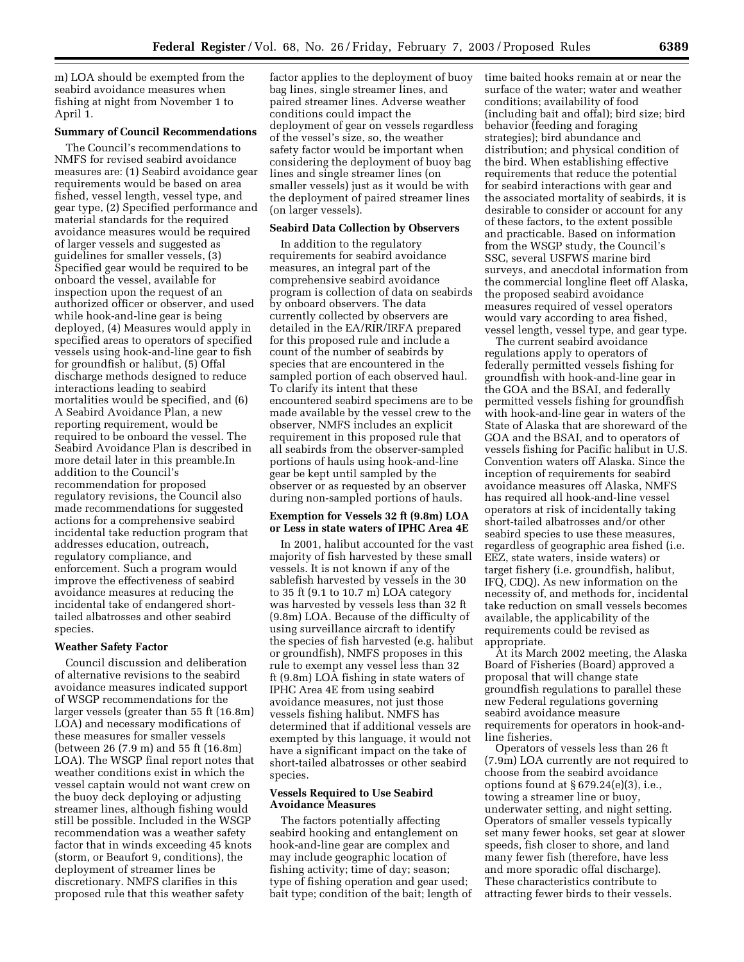m) LOA should be exempted from the seabird avoidance measures when fishing at night from November 1 to April 1.

#### **Summary of Council Recommendations**

The Council's recommendations to NMFS for revised seabird avoidance measures are: (1) Seabird avoidance gear requirements would be based on area fished, vessel length, vessel type, and gear type, (2) Specified performance and material standards for the required avoidance measures would be required of larger vessels and suggested as guidelines for smaller vessels, (3) Specified gear would be required to be onboard the vessel, available for inspection upon the request of an authorized officer or observer, and used while hook-and-line gear is being deployed, (4) Measures would apply in specified areas to operators of specified vessels using hook-and-line gear to fish for groundfish or halibut, (5) Offal discharge methods designed to reduce interactions leading to seabird mortalities would be specified, and (6) A Seabird Avoidance Plan, a new reporting requirement, would be required to be onboard the vessel. The Seabird Avoidance Plan is described in more detail later in this preamble.In addition to the Council's recommendation for proposed regulatory revisions, the Council also made recommendations for suggested actions for a comprehensive seabird incidental take reduction program that addresses education, outreach, regulatory compliance, and enforcement. Such a program would improve the effectiveness of seabird avoidance measures at reducing the incidental take of endangered shorttailed albatrosses and other seabird species.

#### **Weather Safety Factor**

Council discussion and deliberation of alternative revisions to the seabird avoidance measures indicated support of WSGP recommendations for the larger vessels (greater than 55 ft (16.8m) LOA) and necessary modifications of these measures for smaller vessels (between 26 (7.9 m) and 55 ft (16.8m) LOA). The WSGP final report notes that weather conditions exist in which the vessel captain would not want crew on the buoy deck deploying or adjusting streamer lines, although fishing would still be possible. Included in the WSGP recommendation was a weather safety factor that in winds exceeding 45 knots (storm, or Beaufort 9, conditions), the deployment of streamer lines be discretionary. NMFS clarifies in this proposed rule that this weather safety

factor applies to the deployment of buoy bag lines, single streamer lines, and paired streamer lines. Adverse weather conditions could impact the deployment of gear on vessels regardless of the vessel's size, so, the weather safety factor would be important when considering the deployment of buoy bag lines and single streamer lines (on smaller vessels) just as it would be with the deployment of paired streamer lines (on larger vessels).

# **Seabird Data Collection by Observers**

In addition to the regulatory requirements for seabird avoidance measures, an integral part of the comprehensive seabird avoidance program is collection of data on seabirds by onboard observers. The data currently collected by observers are detailed in the EA/RIR/IRFA prepared for this proposed rule and include a count of the number of seabirds by species that are encountered in the sampled portion of each observed haul. To clarify its intent that these encountered seabird specimens are to be made available by the vessel crew to the observer, NMFS includes an explicit requirement in this proposed rule that all seabirds from the observer-sampled portions of hauls using hook-and-line gear be kept until sampled by the observer or as requested by an observer during non-sampled portions of hauls.

# **Exemption for Vessels 32 ft (9.8m) LOA or Less in state waters of IPHC Area 4E**

In 2001, halibut accounted for the vast majority of fish harvested by these small vessels. It is not known if any of the sablefish harvested by vessels in the 30 to 35 ft (9.1 to 10.7 m) LOA category was harvested by vessels less than 32 ft (9.8m) LOA. Because of the difficulty of using surveillance aircraft to identify the species of fish harvested (e.g. halibut or groundfish), NMFS proposes in this rule to exempt any vessel less than 32 ft (9.8m) LOA fishing in state waters of IPHC Area 4E from using seabird avoidance measures, not just those vessels fishing halibut. NMFS has determined that if additional vessels are exempted by this language, it would not have a significant impact on the take of short-tailed albatrosses or other seabird species.

# **Vessels Required to Use Seabird Avoidance Measures**

The factors potentially affecting seabird hooking and entanglement on hook-and-line gear are complex and may include geographic location of fishing activity; time of day; season; type of fishing operation and gear used; bait type; condition of the bait; length of time baited hooks remain at or near the surface of the water; water and weather conditions; availability of food (including bait and offal); bird size; bird behavior (feeding and foraging strategies); bird abundance and distribution; and physical condition of the bird. When establishing effective requirements that reduce the potential for seabird interactions with gear and the associated mortality of seabirds, it is desirable to consider or account for any of these factors, to the extent possible and practicable. Based on information from the WSGP study, the Council's SSC, several USFWS marine bird surveys, and anecdotal information from the commercial longline fleet off Alaska, the proposed seabird avoidance measures required of vessel operators would vary according to area fished, vessel length, vessel type, and gear type.

The current seabird avoidance regulations apply to operators of federally permitted vessels fishing for groundfish with hook-and-line gear in the GOA and the BSAI, and federally permitted vessels fishing for groundfish with hook-and-line gear in waters of the State of Alaska that are shoreward of the GOA and the BSAI, and to operators of vessels fishing for Pacific halibut in U.S. Convention waters off Alaska. Since the inception of requirements for seabird avoidance measures off Alaska, NMFS has required all hook-and-line vessel operators at risk of incidentally taking short-tailed albatrosses and/or other seabird species to use these measures, regardless of geographic area fished (i.e. EEZ, state waters, inside waters) or target fishery (i.e. groundfish, halibut, IFQ, CDQ). As new information on the necessity of, and methods for, incidental take reduction on small vessels becomes available, the applicability of the requirements could be revised as appropriate.

At its March 2002 meeting, the Alaska Board of Fisheries (Board) approved a proposal that will change state groundfish regulations to parallel these new Federal regulations governing seabird avoidance measure requirements for operators in hook-andline fisheries.

Operators of vessels less than 26 ft (7.9m) LOA currently are not required to choose from the seabird avoidance options found at  $\S 679.24(e)(3)$ , i.e., towing a streamer line or buoy, underwater setting, and night setting. Operators of smaller vessels typically set many fewer hooks, set gear at slower speeds, fish closer to shore, and land many fewer fish (therefore, have less and more sporadic offal discharge). These characteristics contribute to attracting fewer birds to their vessels.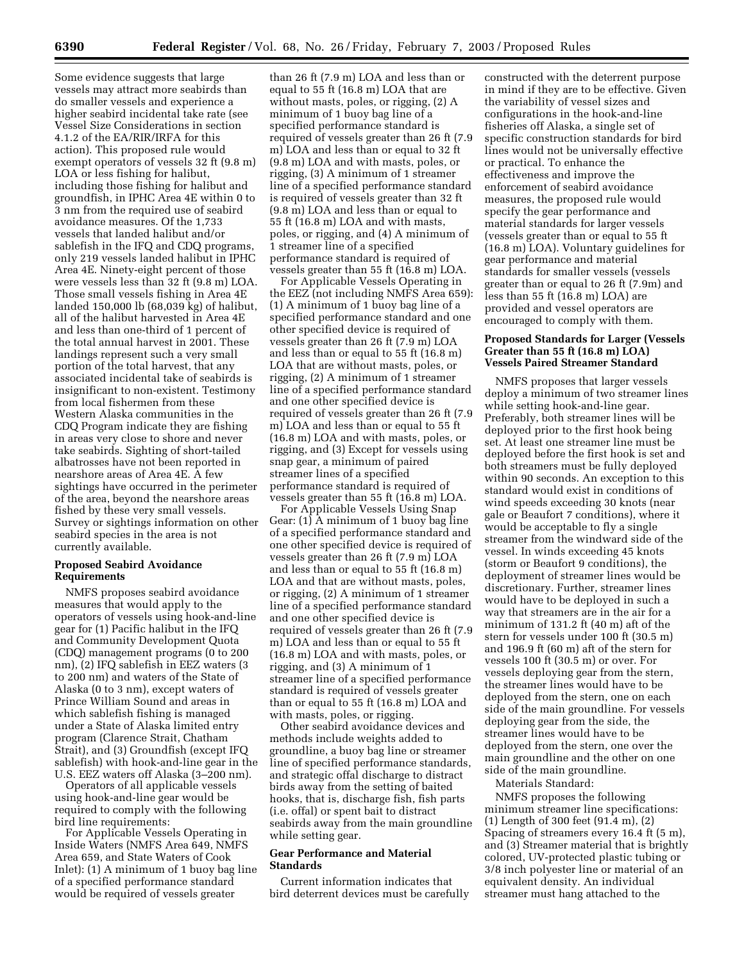Some evidence suggests that large vessels may attract more seabirds than do smaller vessels and experience a higher seabird incidental take rate (see Vessel Size Considerations in section 4.1.2 of the EA/RIR/IRFA for this action). This proposed rule would exempt operators of vessels 32 ft (9.8 m) LOA or less fishing for halibut, including those fishing for halibut and groundfish, in IPHC Area 4E within 0 to 3 nm from the required use of seabird avoidance measures. Of the 1,733 vessels that landed halibut and/or sablefish in the IFQ and CDQ programs, only 219 vessels landed halibut in IPHC Area 4E. Ninety-eight percent of those were vessels less than 32 ft (9.8 m) LOA. Those small vessels fishing in Area 4E landed 150,000 lb (68,039 kg) of halibut, all of the halibut harvested in Area 4E and less than one-third of 1 percent of the total annual harvest in 2001. These landings represent such a very small portion of the total harvest, that any associated incidental take of seabirds is insignificant to non-existent. Testimony from local fishermen from these Western Alaska communities in the CDQ Program indicate they are fishing in areas very close to shore and never take seabirds. Sighting of short-tailed albatrosses have not been reported in nearshore areas of Area 4E. A few sightings have occurred in the perimeter of the area, beyond the nearshore areas fished by these very small vessels. Survey or sightings information on other seabird species in the area is not currently available.

## **Proposed Seabird Avoidance Requirements**

NMFS proposes seabird avoidance measures that would apply to the operators of vessels using hook-and-line gear for (1) Pacific halibut in the IFQ and Community Development Quota (CDQ) management programs (0 to 200 nm), (2) IFQ sablefish in EEZ waters (3 to 200 nm) and waters of the State of Alaska (0 to 3 nm), except waters of Prince William Sound and areas in which sablefish fishing is managed under a State of Alaska limited entry program (Clarence Strait, Chatham Strait), and (3) Groundfish (except IFQ sablefish) with hook-and-line gear in the U.S. EEZ waters off Alaska (3–200 nm).

Operators of all applicable vessels using hook-and-line gear would be required to comply with the following bird line requirements:

For Applicable Vessels Operating in Inside Waters (NMFS Area 649, NMFS Area 659, and State Waters of Cook Inlet): (1) A minimum of 1 buoy bag line of a specified performance standard would be required of vessels greater

than 26 ft (7.9 m) LOA and less than or equal to 55 ft (16.8 m) LOA that are without masts, poles, or rigging, (2) A minimum of 1 buoy bag line of a specified performance standard is required of vessels greater than 26 ft (7.9 m) LOA and less than or equal to 32 ft (9.8 m) LOA and with masts, poles, or rigging, (3) A minimum of 1 streamer line of a specified performance standard is required of vessels greater than 32 ft (9.8 m) LOA and less than or equal to 55 ft (16.8 m) LOA and with masts, poles, or rigging, and (4) A minimum of 1 streamer line of a specified performance standard is required of vessels greater than 55 ft (16.8 m) LOA.

For Applicable Vessels Operating in the EEZ (not including NMFS Area 659): (1) A minimum of 1 buoy bag line of a specified performance standard and one other specified device is required of vessels greater than 26 ft (7.9 m) LOA and less than or equal to 55 ft (16.8 m) LOA that are without masts, poles, or rigging, (2) A minimum of 1 streamer line of a specified performance standard and one other specified device is required of vessels greater than 26 ft (7.9 m) LOA and less than or equal to 55 ft (16.8 m) LOA and with masts, poles, or rigging, and (3) Except for vessels using snap gear, a minimum of paired streamer lines of a specified performance standard is required of vessels greater than 55 ft (16.8 m) LOA.

For Applicable Vessels Using Snap Gear: (1) A minimum of 1 buoy bag line of a specified performance standard and one other specified device is required of vessels greater than 26 ft (7.9 m) LOA and less than or equal to 55 ft (16.8 m) LOA and that are without masts, poles, or rigging, (2) A minimum of 1 streamer line of a specified performance standard and one other specified device is required of vessels greater than 26 ft (7.9 m) LOA and less than or equal to 55 ft (16.8 m) LOA and with masts, poles, or rigging, and (3) A minimum of 1 streamer line of a specified performance standard is required of vessels greater than or equal to 55 ft (16.8 m) LOA and with masts, poles, or rigging.

Other seabird avoidance devices and methods include weights added to groundline, a buoy bag line or streamer line of specified performance standards, and strategic offal discharge to distract birds away from the setting of baited hooks, that is, discharge fish, fish parts (i.e. offal) or spent bait to distract seabirds away from the main groundline while setting gear.

# **Gear Performance and Material Standards**

Current information indicates that bird deterrent devices must be carefully

constructed with the deterrent purpose in mind if they are to be effective. Given the variability of vessel sizes and configurations in the hook-and-line fisheries off Alaska, a single set of specific construction standards for bird lines would not be universally effective or practical. To enhance the effectiveness and improve the enforcement of seabird avoidance measures, the proposed rule would specify the gear performance and material standards for larger vessels (vessels greater than or equal to 55 ft (16.8 m) LOA). Voluntary guidelines for gear performance and material standards for smaller vessels (vessels greater than or equal to 26 ft (7.9m) and less than 55 ft (16.8 m) LOA) are provided and vessel operators are encouraged to comply with them.

# **Proposed Standards for Larger (Vessels Greater than 55 ft (16.8 m) LOA) Vessels Paired Streamer Standard**

NMFS proposes that larger vessels deploy a minimum of two streamer lines while setting hook-and-line gear. Preferably, both streamer lines will be deployed prior to the first hook being set. At least one streamer line must be deployed before the first hook is set and both streamers must be fully deployed within 90 seconds. An exception to this standard would exist in conditions of wind speeds exceeding 30 knots (near gale or Beaufort 7 conditions), where it would be acceptable to fly a single streamer from the windward side of the vessel. In winds exceeding 45 knots (storm or Beaufort 9 conditions), the deployment of streamer lines would be discretionary. Further, streamer lines would have to be deployed in such a way that streamers are in the air for a minimum of 131.2 ft (40 m) aft of the stern for vessels under 100 ft (30.5 m) and 196.9 ft (60 m) aft of the stern for vessels 100 ft (30.5 m) or over. For vessels deploying gear from the stern, the streamer lines would have to be deployed from the stern, one on each side of the main groundline. For vessels deploying gear from the side, the streamer lines would have to be deployed from the stern, one over the main groundline and the other on one side of the main groundline.

Materials Standard:

NMFS proposes the following minimum streamer line specifications: (1) Length of 300 feet (91.4 m), (2) Spacing of streamers every 16.4 ft (5 m), and (3) Streamer material that is brightly colored, UV-protected plastic tubing or 3/8 inch polyester line or material of an equivalent density. An individual streamer must hang attached to the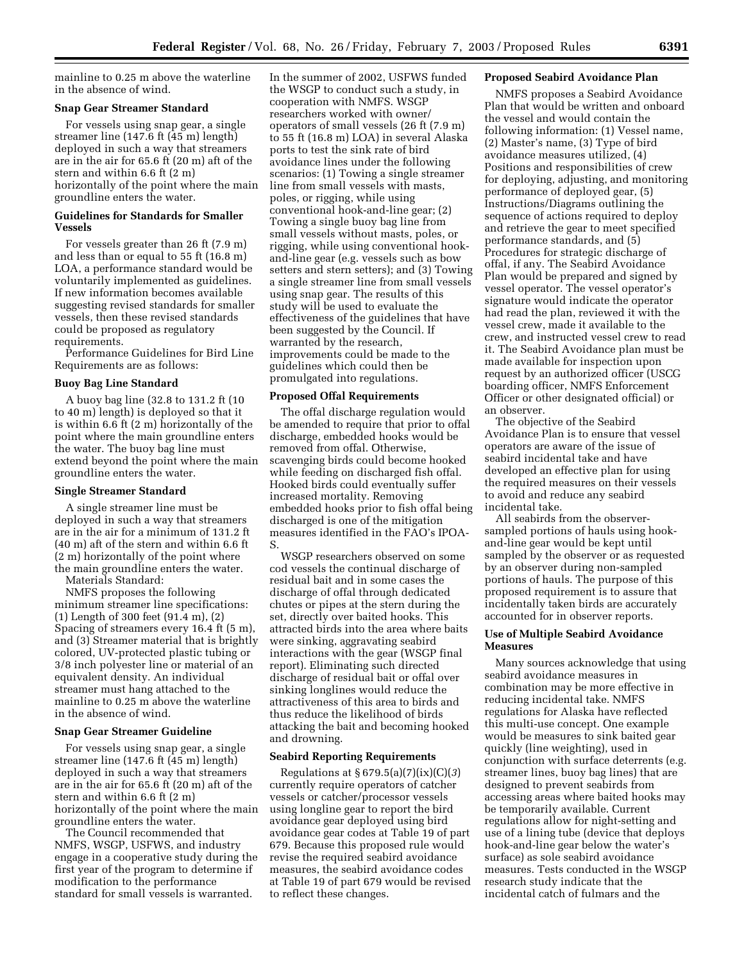mainline to 0.25 m above the waterline in the absence of wind.

#### **Snap Gear Streamer Standard**

For vessels using snap gear, a single streamer line (147.6 ft (45 m) length) deployed in such a way that streamers are in the air for 65.6 ft (20 m) aft of the stern and within 6.6 ft (2 m) horizontally of the point where the main groundline enters the water.

# **Guidelines for Standards for Smaller Vessels**

For vessels greater than 26 ft (7.9 m) and less than or equal to 55 ft (16.8 m) LOA, a performance standard would be voluntarily implemented as guidelines. If new information becomes available suggesting revised standards for smaller vessels, then these revised standards could be proposed as regulatory requirements.

Performance Guidelines for Bird Line Requirements are as follows:

#### **Buoy Bag Line Standard**

A buoy bag line (32.8 to 131.2 ft (10 to 40 m) length) is deployed so that it is within 6.6 ft (2 m) horizontally of the point where the main groundline enters the water. The buoy bag line must extend beyond the point where the main groundline enters the water.

#### **Single Streamer Standard**

A single streamer line must be deployed in such a way that streamers are in the air for a minimum of 131.2 ft (40 m) aft of the stern and within 6.6 ft (2 m) horizontally of the point where the main groundline enters the water.

Materials Standard:

NMFS proposes the following minimum streamer line specifications: (1) Length of 300 feet (91.4 m), (2) Spacing of streamers every 16.4 ft (5 m), and (3) Streamer material that is brightly colored, UV-protected plastic tubing or 3/8 inch polyester line or material of an equivalent density. An individual streamer must hang attached to the mainline to 0.25 m above the waterline in the absence of wind.

# **Snap Gear Streamer Guideline**

For vessels using snap gear, a single streamer line (147.6 ft (45 m) length) deployed in such a way that streamers are in the air for 65.6 ft (20 m) aft of the stern and within 6.6 ft (2 m) horizontally of the point where the main groundline enters the water.

The Council recommended that NMFS, WSGP, USFWS, and industry engage in a cooperative study during the first year of the program to determine if modification to the performance standard for small vessels is warranted.

In the summer of 2002, USFWS funded the WSGP to conduct such a study, in cooperation with NMFS. WSGP researchers worked with owner/ operators of small vessels (26 ft (7.9 m) to 55 ft (16.8 m) LOA) in several Alaska ports to test the sink rate of bird avoidance lines under the following scenarios: (1) Towing a single streamer line from small vessels with masts, poles, or rigging, while using conventional hook-and-line gear; (2) Towing a single buoy bag line from small vessels without masts, poles, or rigging, while using conventional hookand-line gear (e.g. vessels such as bow setters and stern setters); and (3) Towing a single streamer line from small vessels using snap gear. The results of this study will be used to evaluate the effectiveness of the guidelines that have been suggested by the Council. If warranted by the research, improvements could be made to the guidelines which could then be promulgated into regulations.

#### **Proposed Offal Requirements**

The offal discharge regulation would be amended to require that prior to offal discharge, embedded hooks would be removed from offal. Otherwise, scavenging birds could become hooked while feeding on discharged fish offal. Hooked birds could eventually suffer increased mortality. Removing embedded hooks prior to fish offal being discharged is one of the mitigation measures identified in the FAO's IPOA-S.

WSGP researchers observed on some cod vessels the continual discharge of residual bait and in some cases the discharge of offal through dedicated chutes or pipes at the stern during the set, directly over baited hooks. This attracted birds into the area where baits were sinking, aggravating seabird interactions with the gear (WSGP final report). Eliminating such directed discharge of residual bait or offal over sinking longlines would reduce the attractiveness of this area to birds and thus reduce the likelihood of birds attacking the bait and becoming hooked and drowning.

#### **Seabird Reporting Requirements**

Regulations at § 679.5(a)(7)(ix)(C)(*3*) currently require operators of catcher vessels or catcher/processor vessels using longline gear to report the bird avoidance gear deployed using bird avoidance gear codes at Table 19 of part 679. Because this proposed rule would revise the required seabird avoidance measures, the seabird avoidance codes at Table 19 of part 679 would be revised to reflect these changes.

#### **Proposed Seabird Avoidance Plan**

NMFS proposes a Seabird Avoidance Plan that would be written and onboard the vessel and would contain the following information: (1) Vessel name, (2) Master's name, (3) Type of bird avoidance measures utilized, (4) Positions and responsibilities of crew for deploying, adjusting, and monitoring performance of deployed gear, (5) Instructions/Diagrams outlining the sequence of actions required to deploy and retrieve the gear to meet specified performance standards, and (5) Procedures for strategic discharge of offal, if any. The Seabird Avoidance Plan would be prepared and signed by vessel operator. The vessel operator's signature would indicate the operator had read the plan, reviewed it with the vessel crew, made it available to the crew, and instructed vessel crew to read it. The Seabird Avoidance plan must be made available for inspection upon request by an authorized officer (USCG boarding officer, NMFS Enforcement Officer or other designated official) or an observer.

The objective of the Seabird Avoidance Plan is to ensure that vessel operators are aware of the issue of seabird incidental take and have developed an effective plan for using the required measures on their vessels to avoid and reduce any seabird incidental take.

All seabirds from the observersampled portions of hauls using hookand-line gear would be kept until sampled by the observer or as requested by an observer during non-sampled portions of hauls. The purpose of this proposed requirement is to assure that incidentally taken birds are accurately accounted for in observer reports.

# **Use of Multiple Seabird Avoidance Measures**

Many sources acknowledge that using seabird avoidance measures in combination may be more effective in reducing incidental take. NMFS regulations for Alaska have reflected this multi-use concept. One example would be measures to sink baited gear quickly (line weighting), used in conjunction with surface deterrents (e.g. streamer lines, buoy bag lines) that are designed to prevent seabirds from accessing areas where baited hooks may be temporarily available. Current regulations allow for night-setting and use of a lining tube (device that deploys hook-and-line gear below the water's surface) as sole seabird avoidance measures. Tests conducted in the WSGP research study indicate that the incidental catch of fulmars and the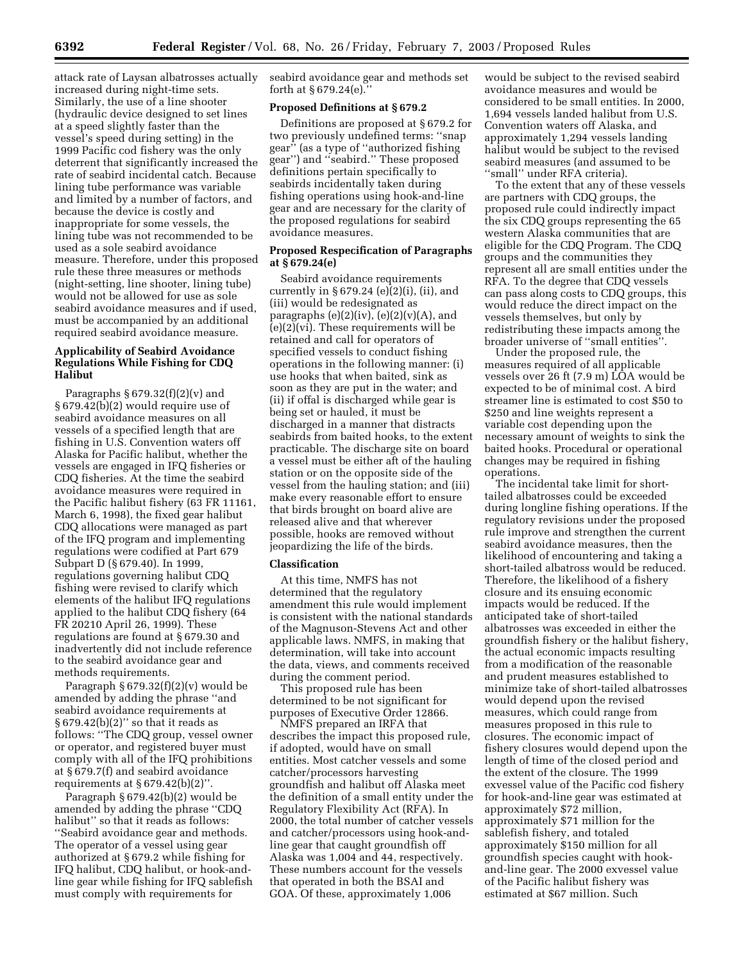attack rate of Laysan albatrosses actually increased during night-time sets. Similarly, the use of a line shooter (hydraulic device designed to set lines at a speed slightly faster than the vessel's speed during setting) in the 1999 Pacific cod fishery was the only deterrent that significantly increased the rate of seabird incidental catch. Because lining tube performance was variable and limited by a number of factors, and because the device is costly and inappropriate for some vessels, the lining tube was not recommended to be used as a sole seabird avoidance measure. Therefore, under this proposed rule these three measures or methods (night-setting, line shooter, lining tube) would not be allowed for use as sole seabird avoidance measures and if used, must be accompanied by an additional required seabird avoidance measure.

# **Applicability of Seabird Avoidance Regulations While Fishing for CDQ Halibut**

Paragraphs § 679.32(f)(2)(v) and § 679.42(b)(2) would require use of seabird avoidance measures on all vessels of a specified length that are fishing in U.S. Convention waters off Alaska for Pacific halibut, whether the vessels are engaged in IFQ fisheries or CDQ fisheries. At the time the seabird avoidance measures were required in the Pacific halibut fishery (63 FR 11161, March 6, 1998), the fixed gear halibut CDQ allocations were managed as part of the IFQ program and implementing regulations were codified at Part 679 Subpart D (§ 679.40). In 1999, regulations governing halibut CDQ fishing were revised to clarify which elements of the halibut IFQ regulations applied to the halibut CDQ fishery (64 FR 20210 April 26, 1999). These regulations are found at § 679.30 and inadvertently did not include reference to the seabird avoidance gear and methods requirements.

Paragraph  $§ 679.32(f)(2)(v)$  would be amended by adding the phrase ''and seabird avoidance requirements at § 679.42(b)(2)'' so that it reads as follows: ''The CDQ group, vessel owner or operator, and registered buyer must comply with all of the IFQ prohibitions at § 679.7(f) and seabird avoidance requirements at  $\S 679.42(b)(2)$ ".

Paragraph § 679.42(b)(2) would be amended by adding the phrase ''CDQ halibut'' so that it reads as follows: ''Seabird avoidance gear and methods. The operator of a vessel using gear authorized at § 679.2 while fishing for IFQ halibut, CDQ halibut, or hook-andline gear while fishing for IFQ sablefish must comply with requirements for

seabird avoidance gear and methods set forth at § 679.24(e).''

#### **Proposed Definitions at § 679.2**

Definitions are proposed at § 679.2 for two previously undefined terms: ''snap gear'' (as a type of ''authorized fishing gear'') and ''seabird.'' These proposed definitions pertain specifically to seabirds incidentally taken during fishing operations using hook-and-line gear and are necessary for the clarity of the proposed regulations for seabird avoidance measures.

# **Proposed Respecification of Paragraphs at § 679.24(e)**

Seabird avoidance requirements currently in  $\S 679.24$  (e)(2)(i), (ii), and (iii) would be redesignated as paragraphs  $(e)(2)(iv)$ ,  $(e)(2)(v)(A)$ , and (e)(2)(vi). These requirements will be retained and call for operators of specified vessels to conduct fishing operations in the following manner: (i) use hooks that when baited, sink as soon as they are put in the water; and (ii) if offal is discharged while gear is being set or hauled, it must be discharged in a manner that distracts seabirds from baited hooks, to the extent practicable. The discharge site on board a vessel must be either aft of the hauling station or on the opposite side of the vessel from the hauling station; and (iii) make every reasonable effort to ensure that birds brought on board alive are released alive and that wherever possible, hooks are removed without jeopardizing the life of the birds.

#### **Classification**

At this time, NMFS has not determined that the regulatory amendment this rule would implement is consistent with the national standards of the Magnuson-Stevens Act and other applicable laws. NMFS, in making that determination, will take into account the data, views, and comments received during the comment period.

This proposed rule has been determined to be not significant for purposes of Executive Order 12866.

NMFS prepared an IRFA that describes the impact this proposed rule, if adopted, would have on small entities. Most catcher vessels and some catcher/processors harvesting groundfish and halibut off Alaska meet the definition of a small entity under the Regulatory Flexibility Act (RFA). In 2000, the total number of catcher vessels and catcher/processors using hook-andline gear that caught groundfish off Alaska was 1,004 and 44, respectively. These numbers account for the vessels that operated in both the BSAI and GOA. Of these, approximately 1,006

would be subject to the revised seabird avoidance measures and would be considered to be small entities. In 2000, 1,694 vessels landed halibut from U.S. Convention waters off Alaska, and approximately 1,294 vessels landing halibut would be subject to the revised seabird measures (and assumed to be 'small" under RFA criteria).

To the extent that any of these vessels are partners with CDQ groups, the proposed rule could indirectly impact the six CDQ groups representing the 65 western Alaska communities that are eligible for the CDQ Program. The CDQ groups and the communities they represent all are small entities under the RFA. To the degree that CDQ vessels can pass along costs to CDQ groups, this would reduce the direct impact on the vessels themselves, but only by redistributing these impacts among the broader universe of ''small entities''.

Under the proposed rule, the measures required of all applicable vessels over 26 ft (7.9 m) LOA would be expected to be of minimal cost. A bird streamer line is estimated to cost \$50 to \$250 and line weights represent a variable cost depending upon the necessary amount of weights to sink the baited hooks. Procedural or operational changes may be required in fishing operations.

The incidental take limit for shorttailed albatrosses could be exceeded during longline fishing operations. If the regulatory revisions under the proposed rule improve and strengthen the current seabird avoidance measures, then the likelihood of encountering and taking a short-tailed albatross would be reduced. Therefore, the likelihood of a fishery closure and its ensuing economic impacts would be reduced. If the anticipated take of short-tailed albatrosses was exceeded in either the groundfish fishery or the halibut fishery, the actual economic impacts resulting from a modification of the reasonable and prudent measures established to minimize take of short-tailed albatrosses would depend upon the revised measures, which could range from measures proposed in this rule to closures. The economic impact of fishery closures would depend upon the length of time of the closed period and the extent of the closure. The 1999 exvessel value of the Pacific cod fishery for hook-and-line gear was estimated at approximately \$72 million, approximately \$71 million for the sablefish fishery, and totaled approximately \$150 million for all groundfish species caught with hookand-line gear. The 2000 exvessel value of the Pacific halibut fishery was estimated at \$67 million. Such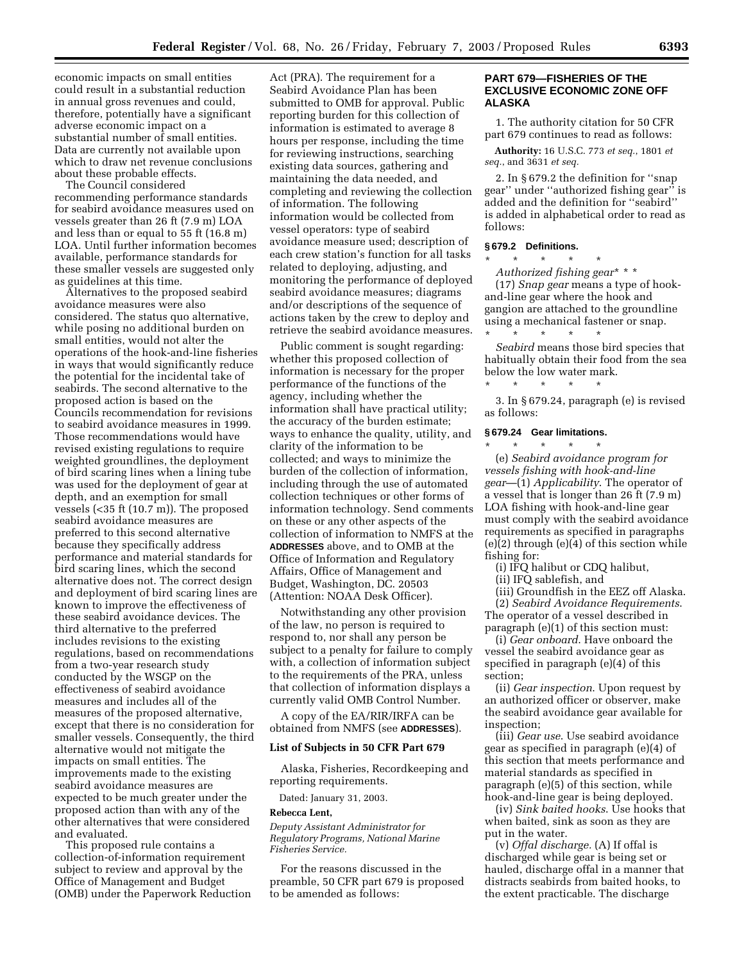economic impacts on small entities could result in a substantial reduction in annual gross revenues and could, therefore, potentially have a significant adverse economic impact on a substantial number of small entities. Data are currently not available upon which to draw net revenue conclusions about these probable effects.

The Council considered recommending performance standards for seabird avoidance measures used on vessels greater than 26 ft (7.9 m) LOA and less than or equal to 55 ft (16.8 m) LOA. Until further information becomes available, performance standards for these smaller vessels are suggested only as guidelines at this time.

Alternatives to the proposed seabird avoidance measures were also considered. The status quo alternative, while posing no additional burden on small entities, would not alter the operations of the hook-and-line fisheries in ways that would significantly reduce the potential for the incidental take of seabirds. The second alternative to the proposed action is based on the Councils recommendation for revisions to seabird avoidance measures in 1999. Those recommendations would have revised existing regulations to require weighted groundlines, the deployment of bird scaring lines when a lining tube was used for the deployment of gear at depth, and an exemption for small vessels (<35 ft (10.7 m)). The proposed seabird avoidance measures are preferred to this second alternative because they specifically address performance and material standards for bird scaring lines, which the second alternative does not. The correct design and deployment of bird scaring lines are known to improve the effectiveness of these seabird avoidance devices. The third alternative to the preferred includes revisions to the existing regulations, based on recommendations from a two-year research study conducted by the WSGP on the effectiveness of seabird avoidance measures and includes all of the measures of the proposed alternative, except that there is no consideration for smaller vessels. Consequently, the third alternative would not mitigate the impacts on small entities. The improvements made to the existing seabird avoidance measures are expected to be much greater under the proposed action than with any of the other alternatives that were considered and evaluated.

This proposed rule contains a collection-of-information requirement subject to review and approval by the Office of Management and Budget (OMB) under the Paperwork Reduction

Act (PRA). The requirement for a Seabird Avoidance Plan has been submitted to OMB for approval. Public reporting burden for this collection of information is estimated to average 8 hours per response, including the time for reviewing instructions, searching existing data sources, gathering and maintaining the data needed, and completing and reviewing the collection of information. The following information would be collected from vessel operators: type of seabird avoidance measure used; description of each crew station's function for all tasks related to deploying, adjusting, and monitoring the performance of deployed seabird avoidance measures; diagrams and/or descriptions of the sequence of actions taken by the crew to deploy and retrieve the seabird avoidance measures.

Public comment is sought regarding: whether this proposed collection of information is necessary for the proper performance of the functions of the agency, including whether the information shall have practical utility; the accuracy of the burden estimate; ways to enhance the quality, utility, and clarity of the information to be collected; and ways to minimize the burden of the collection of information, including through the use of automated collection techniques or other forms of information technology. Send comments on these or any other aspects of the collection of information to NMFS at the **ADDRESSES** above, and to OMB at the Office of Information and Regulatory Affairs, Office of Management and Budget, Washington, DC. 20503 (Attention: NOAA Desk Officer).

Notwithstanding any other provision of the law, no person is required to respond to, nor shall any person be subject to a penalty for failure to comply with, a collection of information subject to the requirements of the PRA, unless that collection of information displays a currently valid OMB Control Number.

A copy of the EA/RIR/IRFA can be obtained from NMFS (see **ADDRESSES**).

# **List of Subjects in 50 CFR Part 679**

Alaska, Fisheries, Recordkeeping and reporting requirements.

Dated: January 31, 2003.

#### **Rebecca Lent,**

*Deputy Assistant Administrator for Regulatory Programs, National Marine Fisheries Service.*

For the reasons discussed in the preamble, 50 CFR part 679 is proposed to be amended as follows:

## **PART 679—FISHERIES OF THE EXCLUSIVE ECONOMIC ZONE OFF ALASKA**

1. The authority citation for 50 CFR part 679 continues to read as follows:

**Authority:** 16 U.S.C. 773 *et seq.*, 1801 *et seq.*, and 3631 *et seq.*

2. In § 679.2 the definition for ''snap gear'' under ''authorized fishing gear'' is added and the definition for ''seabird'' is added in alphabetical order to read as follows:

#### **§ 679.2 Definitions.**

\* \* \* \* \*

*Authorized fishing gear*\* \* \*

(17) *Snap gear* means a type of hookand-line gear where the hook and gangion are attached to the groundline using a mechanical fastener or snap.

\* \* \* \* \* *Seabird* means those bird species that habitually obtain their food from the sea below the low water mark.

3. In § 679.24, paragraph (e) is revised as follows:

## **§ 679.24 Gear limitations.**

\* \* \* \* \*

\* \* \* \* \* (e) *Seabird avoidance program for vessels fishing with hook-and-line gear*—(1) *Applicability*. The operator of a vessel that is longer than 26 ft (7.9 m) LOA fishing with hook-and-line gear must comply with the seabird avoidance requirements as specified in paragraphs (e)(2) through (e)(4) of this section while fishing for:

(i) IFQ halibut or CDQ halibut,

(ii) IFQ sablefish, and

(iii) Groundfish in the EEZ off Alaska.

(2) *Seabird Avoidance Requirements*. The operator of a vessel described in paragraph (e)(1) of this section must:

(i) *Gear onboard*. Have onboard the vessel the seabird avoidance gear as specified in paragraph (e)(4) of this section;

(ii) *Gear inspection*. Upon request by an authorized officer or observer, make the seabird avoidance gear available for inspection;

(iii) *Gear use*. Use seabird avoidance gear as specified in paragraph (e)(4) of this section that meets performance and material standards as specified in paragraph (e)(5) of this section, while hook-and-line gear is being deployed.

(iv) *Sink baited hooks*. Use hooks that when baited, sink as soon as they are put in the water.

(v) *Offal discharge.* (A) If offal is discharged while gear is being set or hauled, discharge offal in a manner that distracts seabirds from baited hooks, to the extent practicable. The discharge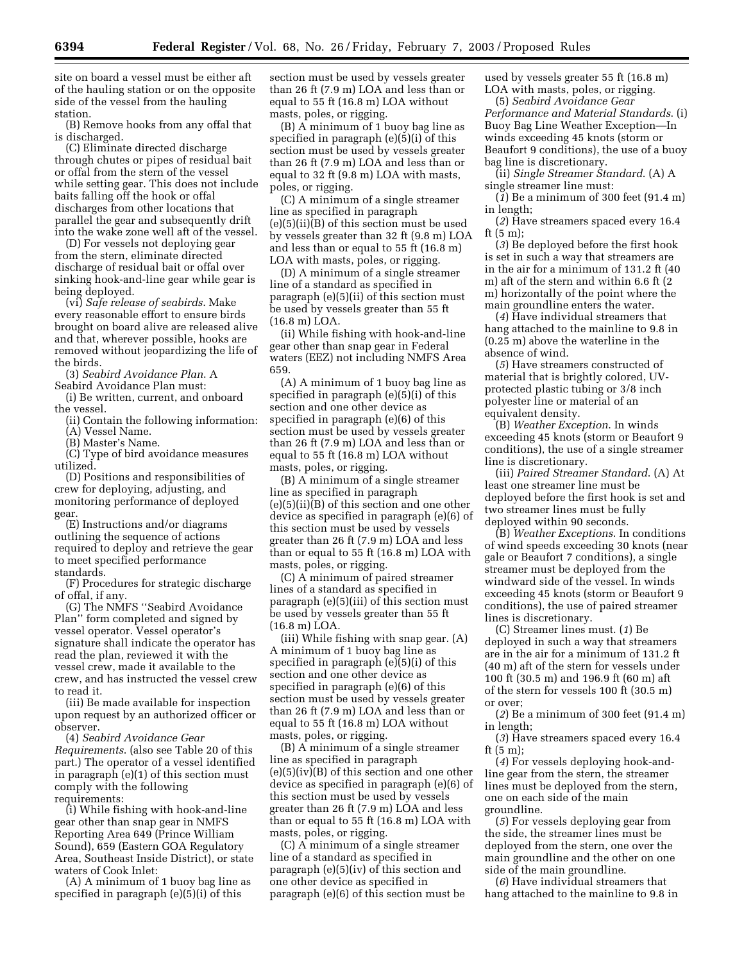site on board a vessel must be either aft of the hauling station or on the opposite side of the vessel from the hauling station.

(B) Remove hooks from any offal that is discharged.

(C) Eliminate directed discharge through chutes or pipes of residual bait or offal from the stern of the vessel while setting gear. This does not include baits falling off the hook or offal discharges from other locations that parallel the gear and subsequently drift into the wake zone well aft of the vessel.

(D) For vessels not deploying gear from the stern, eliminate directed discharge of residual bait or offal over sinking hook-and-line gear while gear is being deployed.

(vi) *Safe release of seabirds*. Make every reasonable effort to ensure birds brought on board alive are released alive and that, wherever possible, hooks are removed without jeopardizing the life of the birds.

(3) *Seabird Avoidance Plan*. A Seabird Avoidance Plan must:

(i) Be written, current, and onboard the vessel.

(ii) Contain the following information: (A) Vessel Name.

(B) Master's Name.

(C) Type of bird avoidance measures

utilized. (D) Positions and responsibilities of crew for deploying, adjusting, and monitoring performance of deployed gear.

(E) Instructions and/or diagrams outlining the sequence of actions required to deploy and retrieve the gear to meet specified performance standards.

(F) Procedures for strategic discharge of offal, if any.

(G) The NMFS ''Seabird Avoidance Plan'' form completed and signed by vessel operator. Vessel operator's signature shall indicate the operator has read the plan, reviewed it with the vessel crew, made it available to the crew, and has instructed the vessel crew to read it.

(iii) Be made available for inspection upon request by an authorized officer or observer.

(4) *Seabird Avoidance Gear Requirements*. (also see Table 20 of this part.) The operator of a vessel identified in paragraph (e)(1) of this section must comply with the following requirements:

(i) While fishing with hook-and-line gear other than snap gear in NMFS Reporting Area 649 (Prince William Sound), 659 (Eastern GOA Regulatory Area, Southeast Inside District), or state waters of Cook Inlet:

(A) A minimum of 1 buoy bag line as specified in paragraph (e)(5)(i) of this

section must be used by vessels greater than 26 ft (7.9 m) LOA and less than or equal to 55 ft (16.8 m) LOA without masts, poles, or rigging.

(B) A minimum of 1 buoy bag line as specified in paragraph (e)(5)(i) of this section must be used by vessels greater than 26 ft (7.9 m) LOA and less than or equal to 32 ft (9.8 m) LOA with masts, poles, or rigging.

(C) A minimum of a single streamer line as specified in paragraph (e)(5)(ii)(B) of this section must be used by vessels greater than 32 ft (9.8 m) LOA and less than or equal to 55 ft (16.8 m) LOA with masts, poles, or rigging.

(D) A minimum of a single streamer line of a standard as specified in paragraph (e)(5)(ii) of this section must be used by vessels greater than 55 ft (16.8 m) LOA.

(ii) While fishing with hook-and-line gear other than snap gear in Federal waters (EEZ) not including NMFS Area 659.

(A) A minimum of 1 buoy bag line as specified in paragraph (e)(5)(i) of this section and one other device as specified in paragraph (e)(6) of this section must be used by vessels greater than 26 ft (7.9 m) LOA and less than or equal to 55 ft (16.8 m) LOA without masts, poles, or rigging.

(B) A minimum of a single streamer line as specified in paragraph (e)(5)(ii)(B) of this section and one other device as specified in paragraph (e)(6) of this section must be used by vessels greater than 26 ft (7.9 m) LOA and less than or equal to 55 ft (16.8 m) LOA with masts, poles, or rigging.

(C) A minimum of paired streamer lines of a standard as specified in paragraph (e)(5)(iii) of this section must be used by vessels greater than 55 ft (16.8 m) LOA.

(iii) While fishing with snap gear. (A) A minimum of 1 buoy bag line as specified in paragraph (e)(5)(i) of this section and one other device as specified in paragraph (e)(6) of this section must be used by vessels greater than 26 ft (7.9 m) LOA and less than or equal to 55 ft (16.8 m) LOA without masts, poles, or rigging.

(B) A minimum of a single streamer line as specified in paragraph  $(e)(5)(iv)(B)$  of this section and one other device as specified in paragraph (e)(6) of this section must be used by vessels greater than 26 ft (7.9 m) LOA and less than or equal to 55 ft (16.8 m) LOA with masts, poles, or rigging.

(C) A minimum of a single streamer line of a standard as specified in paragraph (e)(5)(iv) of this section and one other device as specified in paragraph (e)(6) of this section must be used by vessels greater 55 ft (16.8 m) LOA with masts, poles, or rigging.

(5) *Seabird Avoidance Gear Performance and Material Standards*. (i) Buoy Bag Line Weather Exception—In winds exceeding 45 knots (storm or Beaufort 9 conditions), the use of a buoy bag line is discretionary.

(ii) *Single Streamer Standard*. (A) A single streamer line must:

(*1*) Be a minimum of 300 feet (91.4 m) in length;

(*2*) Have streamers spaced every 16.4 ft (5 m);

(*3*) Be deployed before the first hook is set in such a way that streamers are in the air for a minimum of 131.2 ft (40 m) aft of the stern and within 6.6 ft (2 m) horizontally of the point where the main groundline enters the water.

(*4*) Have individual streamers that hang attached to the mainline to 9.8 in (0.25 m) above the waterline in the absence of wind.

(*5*) Have streamers constructed of material that is brightly colored, UVprotected plastic tubing or 3/8 inch polyester line or material of an equivalent density.

(B) *Weather Exception*. In winds exceeding 45 knots (storm or Beaufort 9 conditions), the use of a single streamer line is discretionary.

(iii) *Paired Streamer Standard*. (A) At least one streamer line must be deployed before the first hook is set and two streamer lines must be fully deployed within 90 seconds.

(B) *Weather Exceptions*. In conditions of wind speeds exceeding 30 knots (near gale or Beaufort 7 conditions), a single streamer must be deployed from the windward side of the vessel. In winds exceeding 45 knots (storm or Beaufort 9 conditions), the use of paired streamer lines is discretionary.

(C) Streamer lines must. (*1*) Be deployed in such a way that streamers are in the air for a minimum of 131.2 ft (40 m) aft of the stern for vessels under 100 ft (30.5 m) and 196.9 ft (60 m) aft of the stern for vessels 100 ft (30.5 m) or over;

(*2*) Be a minimum of 300 feet (91.4 m) in length;

(*3*) Have streamers spaced every 16.4 ft (5 m);

(*4*) For vessels deploying hook-andline gear from the stern, the streamer lines must be deployed from the stern, one on each side of the main groundline.

(*5*) For vessels deploying gear from the side, the streamer lines must be deployed from the stern, one over the main groundline and the other on one side of the main groundline.

(*6*) Have individual streamers that hang attached to the mainline to 9.8 in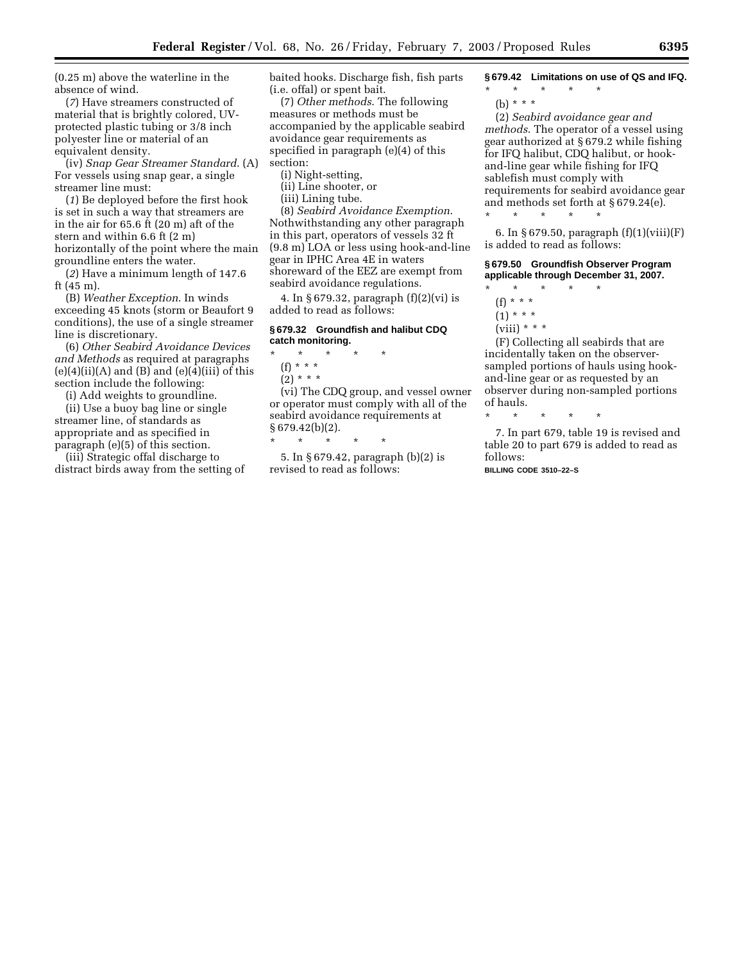(0.25 m) above the waterline in the absence of wind.

(*7*) Have streamers constructed of material that is brightly colored, UVprotected plastic tubing or 3/8 inch polyester line or material of an equivalent density.

(iv) *Snap Gear Streamer Standard*. (A) For vessels using snap gear, a single streamer line must:

(*1*) Be deployed before the first hook is set in such a way that streamers are in the air for 65.6 ft (20 m) aft of the stern and within 6.6 ft (2 m) horizontally of the point where the main groundline enters the water.

(*2*) Have a minimum length of 147.6 ft (45 m).

(B) *Weather Exception*. In winds exceeding 45 knots (storm or Beaufort 9 conditions), the use of a single streamer line is discretionary.

(6) *Other Seabird Avoidance Devices and Methods* as required at paragraphs  $(e)(4)(ii)(A)$  and  $(B)$  and  $(e)(4)(iii)$  of this section include the following:

(i) Add weights to groundline.

(ii) Use a buoy bag line or single streamer line, of standards as appropriate and as specified in paragraph (e)(5) of this section.

(iii) Strategic offal discharge to distract birds away from the setting of baited hooks. Discharge fish, fish parts (i.e. offal) or spent bait.

(7) *Other methods*. The following measures or methods must be accompanied by the applicable seabird avoidance gear requirements as specified in paragraph (e)(4) of this section:

(i) Night-setting,

(ii) Line shooter, or

(iii) Lining tube.

(8) *Seabird Avoidance Exemption*. Nothwithstanding any other paragraph in this part, operators of vessels 32 ft (9.8 m) LOA or less using hook-and-line gear in IPHC Area 4E in waters shoreward of the EEZ are exempt from seabird avoidance regulations.

4. In § 679.32, paragraph (f)(2)(vi) is added to read as follows:

## **§ 679.32 Groundfish and halibut CDQ catch monitoring.**

- \* \* \* \* \* (f) \* \* \*
- $(2) * * * *$

(vi) The CDQ group, and vessel owner or operator must comply with all of the seabird avoidance requirements at  $§ 679.42(b)(2).$ \* \* \* \* \*

5. In § 679.42, paragraph (b)(2) is revised to read as follows:

**§ 679.42 Limitations on use of QS and IFQ.**

\* \* \* \* \* (b) \* \* \*

(2) *Seabird avoidance gear and methods*. The operator of a vessel using gear authorized at § 679.2 while fishing for IFQ halibut, CDQ halibut, or hookand-line gear while fishing for IFQ sablefish must comply with requirements for seabird avoidance gear and methods set forth at § 679.24(e).

6. In § 679.50, paragraph (f)(1)(viii)(F) is added to read as follows:

**§ 679.50 Groundfish Observer Program applicable through December 31, 2007.**

\* \* \* \* \* (f) \* \* \*

\* \* \* \* \*

- $(1) * * * *$
- (viii)  $* * *$

(F) Collecting all seabirds that are incidentally taken on the observersampled portions of hauls using hookand-line gear or as requested by an observer during non-sampled portions of hauls.

\* \* \* \* \*

7. In part 679, table 19 is revised and table 20 to part 679 is added to read as follows:

**BILLING CODE 3510–22–S**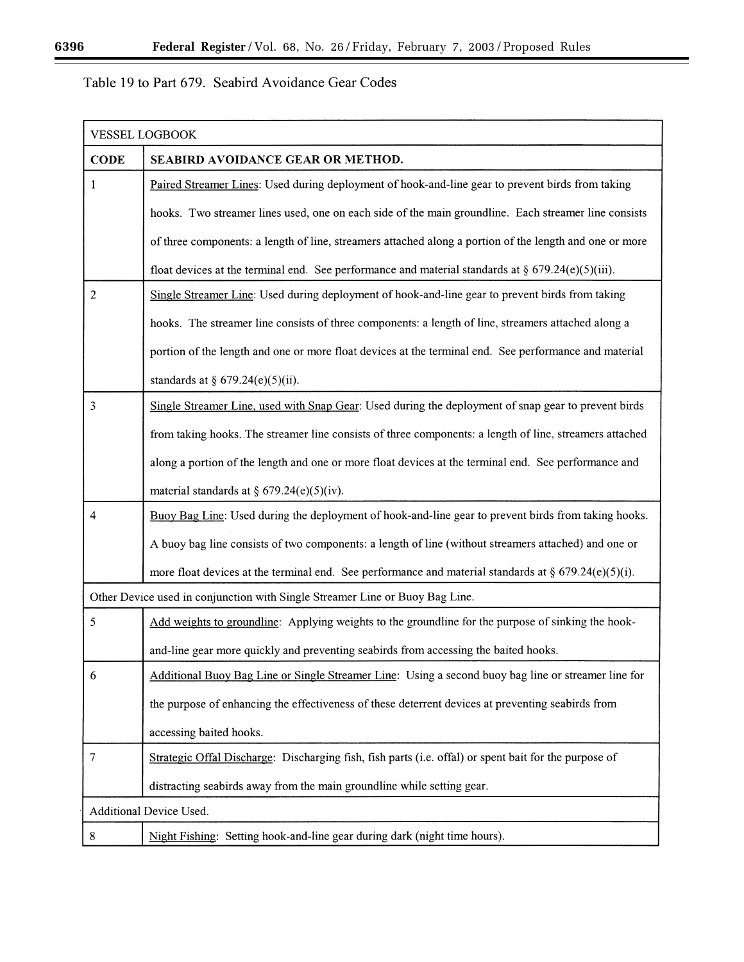Ξ

# Table 19 to Part 679. Seabird Avoidance Gear Codes

| <b>VESSEL LOGBOOK</b>                                                        |                                                                                                         |  |
|------------------------------------------------------------------------------|---------------------------------------------------------------------------------------------------------|--|
| <b>CODE</b>                                                                  | SEABIRD AVOIDANCE GEAR OR METHOD.                                                                       |  |
| 1                                                                            | Paired Streamer Lines: Used during deployment of hook-and-line gear to prevent birds from taking        |  |
|                                                                              | hooks. Two streamer lines used, one on each side of the main groundline. Each streamer line consists    |  |
|                                                                              | of three components: a length of line, streamers attached along a portion of the length and one or more |  |
|                                                                              | float devices at the terminal end. See performance and material standards at § 679.24(e)(5)(iii).       |  |
| $\overline{2}$                                                               | Single Streamer Line: Used during deployment of hook-and-line gear to prevent birds from taking         |  |
|                                                                              | hooks. The streamer line consists of three components: a length of line, streamers attached along a     |  |
|                                                                              | portion of the length and one or more float devices at the terminal end. See performance and material   |  |
|                                                                              | standards at § $679.24(e)(5)(ii)$ .                                                                     |  |
| 3                                                                            | Single Streamer Line, used with Snap Gear: Used during the deployment of snap gear to prevent birds     |  |
|                                                                              | from taking hooks. The streamer line consists of three components: a length of line, streamers attached |  |
|                                                                              | along a portion of the length and one or more float devices at the terminal end. See performance and    |  |
|                                                                              | material standards at $\S$ 679.24(e)(5)(iv).                                                            |  |
| $\overline{4}$                                                               | Buoy Bag Line: Used during the deployment of hook-and-line gear to prevent birds from taking hooks.     |  |
|                                                                              | A buoy bag line consists of two components: a length of line (without streamers attached) and one or    |  |
|                                                                              | more float devices at the terminal end. See performance and material standards at § $679.24(e)(5)(i)$ . |  |
| Other Device used in conjunction with Single Streamer Line or Buoy Bag Line. |                                                                                                         |  |
| 5                                                                            | Add weights to groundline: Applying weights to the groundline for the purpose of sinking the hook-      |  |
|                                                                              | and-line gear more quickly and preventing seabirds from accessing the baited hooks.                     |  |
| 6                                                                            | Additional Buoy Bag Line or Single Streamer Line: Using a second buoy bag line or streamer line for     |  |
|                                                                              | the purpose of enhancing the effectiveness of these deterrent devices at preventing seabirds from       |  |
|                                                                              | accessing baited hooks.                                                                                 |  |
| 7                                                                            | Strategic Offal Discharge: Discharging fish, fish parts (i.e. offal) or spent bait for the purpose of   |  |
|                                                                              | distracting seabirds away from the main groundline while setting gear.                                  |  |
|                                                                              | Additional Device Used.                                                                                 |  |
| 8                                                                            | Night Fishing: Setting hook-and-line gear during dark (night time hours).                               |  |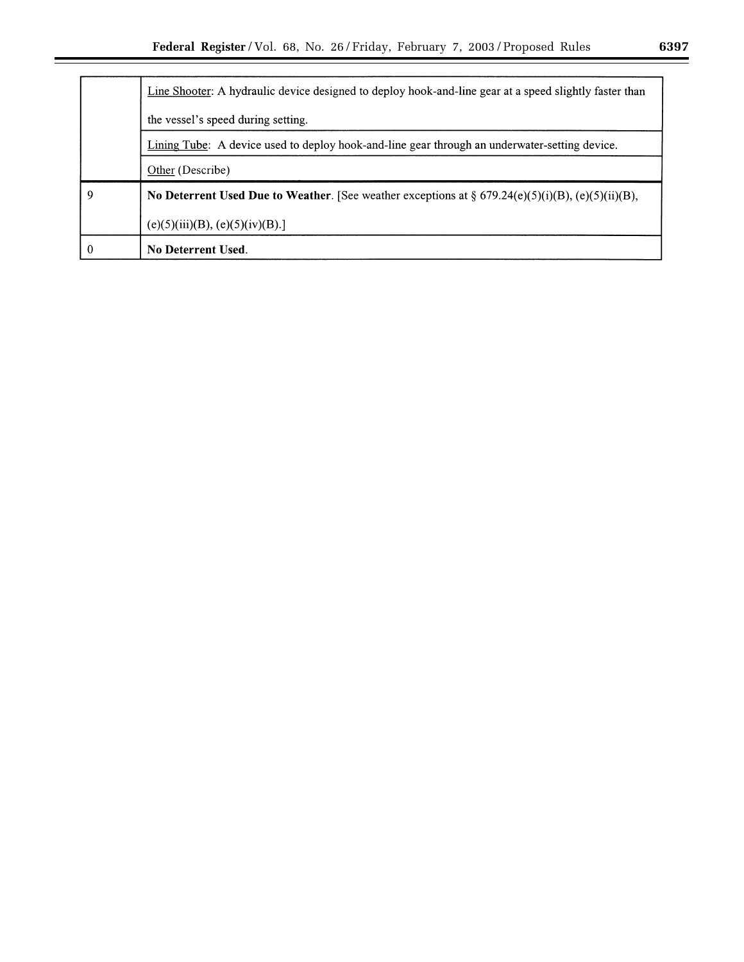|          | Line Shooter: A hydraulic device designed to deploy hook-and-line gear at a speed slightly faster than |  |
|----------|--------------------------------------------------------------------------------------------------------|--|
|          | the vessel's speed during setting.                                                                     |  |
|          | Lining Tube: A device used to deploy hook-and-line gear through an underwater-setting device.          |  |
|          | Other (Describe)                                                                                       |  |
| 9        | No Deterrent Used Due to Weather. [See weather exceptions at $\S 679.24(e)(5)(i)(B)$ , (e)(5)(ii)(B),  |  |
|          | (e)(5)(iii)(B), (e)(5)(iv)(B).                                                                         |  |
| $\theta$ | <b>No Deterrent Used.</b>                                                                              |  |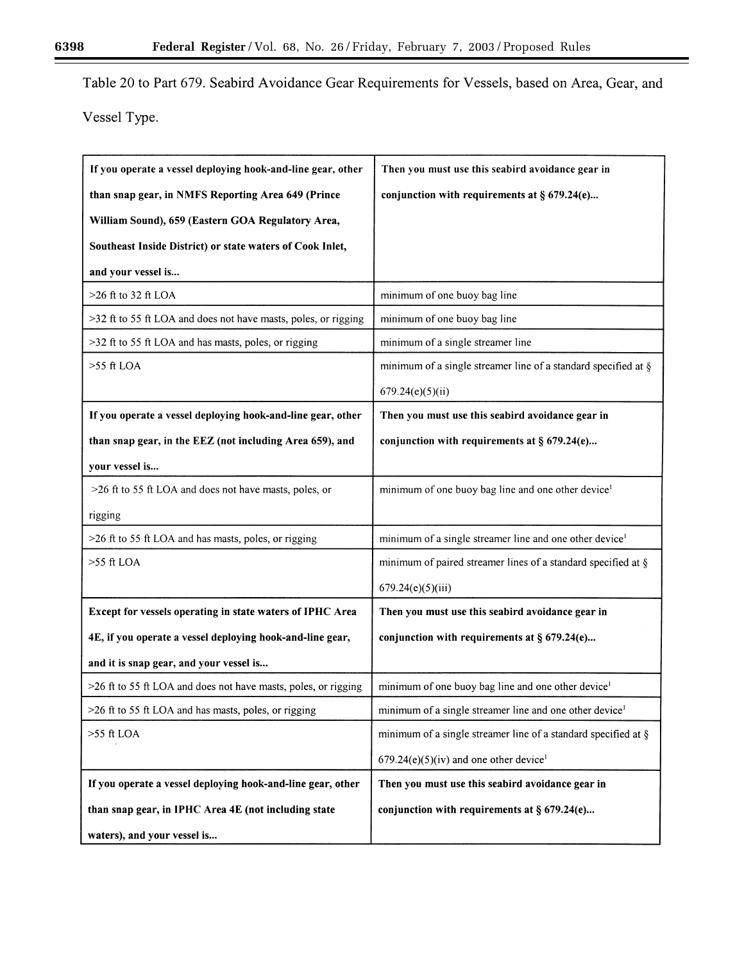▀

Table 20 to Part 679. Seabird Avoidance Gear Requirements for Vessels, based on Area, Gear, and

Vessel Type.

| If you operate a vessel deploying hook-and-line gear, other    | Then you must use this seabird avoidance gear in                    |
|----------------------------------------------------------------|---------------------------------------------------------------------|
| than snap gear, in NMFS Reporting Area 649 (Prince             | conjunction with requirements at $\S$ 679.24(e)                     |
| William Sound), 659 (Eastern GOA Regulatory Area,              |                                                                     |
| Southeast Inside District) or state waters of Cook Inlet,      |                                                                     |
| and your vessel is                                             |                                                                     |
| $>26$ ft to 32 ft LOA                                          | minimum of one buoy bag line                                        |
| >32 ft to 55 ft LOA and does not have masts, poles, or rigging | minimum of one buoy bag line                                        |
| >32 ft to 55 ft LOA and has masts, poles, or rigging           | minimum of a single streamer line                                   |
| $>55$ ft LOA                                                   | minimum of a single streamer line of a standard specified at $\S$   |
|                                                                | 679.24(e)(5)(ii)                                                    |
| If you operate a vessel deploying hook-and-line gear, other    | Then you must use this seabird avoidance gear in                    |
| than snap gear, in the EEZ (not including Area 659), and       | conjunction with requirements at $\S$ 679.24(e)                     |
| your vessel is                                                 |                                                                     |
| >26 ft to 55 ft LOA and does not have masts, poles, or         | minimum of one buoy bag line and one other device <sup>1</sup>      |
| rigging                                                        |                                                                     |
| >26 ft to 55 ft LOA and has masts, poles, or rigging           | minimum of a single streamer line and one other device <sup>1</sup> |
| $>55$ ft LOA                                                   | minimum of paired streamer lines of a standard specified at $\S$    |
|                                                                | 679.24(e)(5)(iii)                                                   |
| Except for vessels operating in state waters of IPHC Area      | Then you must use this seabird avoidance gear in                    |
| 4E, if you operate a vessel deploying hook-and-line gear,      | conjunction with requirements at $\S$ 679.24(e)                     |
| and it is snap gear, and your vessel is                        |                                                                     |
| >26 ft to 55 ft LOA and does not have masts, poles, or rigging | minimum of one buoy bag line and one other device <sup>1</sup>      |
| >26 ft to 55 ft LOA and has masts, poles, or rigging           | minimum of a single streamer line and one other device <sup>1</sup> |
| $>55$ ft LOA                                                   | minimum of a single streamer line of a standard specified at $\S$   |
|                                                                | $679.24(e)(5)(iv)$ and one other device <sup>1</sup>                |
| If you operate a vessel deploying hook-and-line gear, other    | Then you must use this seabird avoidance gear in                    |
| than snap gear, in IPHC Area 4E (not including state           | conjunction with requirements at $\S$ 679.24(e)                     |
| waters), and your vessel is                                    |                                                                     |